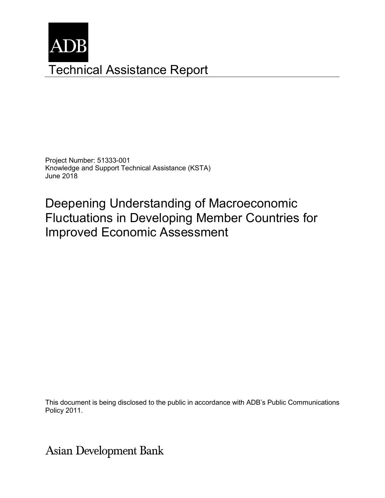

Project Number: 51333-001 Knowledge and Support Technical Assistance (KSTA) June 2018

Deepening Understanding of Macroeconomic Fluctuations in Developing Member Countries for Improved Economic Assessment

This document is being disclosed to the public in accordance with ADB's Public Communications Policy 2011.

**Asian Development Bank**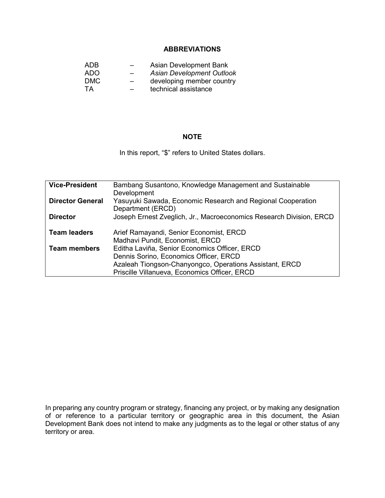### **ABBREVIATIONS**

|     | Asian Development Bank    |
|-----|---------------------------|
| $-$ | Asian Development Outlook |
| $-$ | developing member country |
| $-$ | technical assistance      |
|     |                           |

### **NOTE**

In this report, "\$" refers to United States dollars.

| <b>Vice-President</b>   | Bambang Susantono, Knowledge Management and Sustainable             |
|-------------------------|---------------------------------------------------------------------|
|                         | Development                                                         |
| <b>Director General</b> | Yasuyuki Sawada, Economic Research and Regional Cooperation         |
|                         | Department (ERCD)                                                   |
| <b>Director</b>         | Joseph Ernest Zveglich, Jr., Macroeconomics Research Division, ERCD |
|                         |                                                                     |
| <b>Team leaders</b>     | Arief Ramayandi, Senior Economist, ERCD                             |
|                         | Madhavi Pundit, Economist, ERCD                                     |
| <b>Team members</b>     | Editha Laviña, Senior Economics Officer, ERCD                       |
|                         | Dennis Sorino, Economics Officer, ERCD                              |
|                         | Azaleah Tiongson-Chanyongco, Operations Assistant, ERCD             |
|                         | Priscille Villanueva, Economics Officer, ERCD                       |

In preparing any country program or strategy, financing any project, or by making any designation of or reference to a particular territory or geographic area in this document, the Asian Development Bank does not intend to make any judgments as to the legal or other status of any territory or area.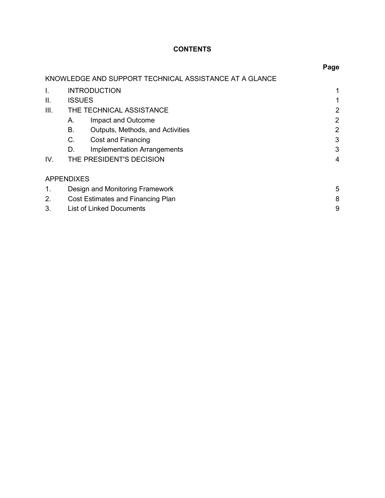# **CONTENTS**

|      |                   |                                                        | Page |
|------|-------------------|--------------------------------------------------------|------|
|      |                   | KNOWLEDGE AND SUPPORT TECHNICAL ASSISTANCE AT A GLANCE |      |
| I.   |                   | <b>INTRODUCTION</b>                                    |      |
| ΙΙ.  | <b>ISSUES</b>     |                                                        |      |
| III. |                   | THE TECHNICAL ASSISTANCE                               | 2    |
|      | А.                | Impact and Outcome                                     | 2    |
|      | В.                | <b>Outputs, Methods, and Activities</b>                | 2    |
|      | $C_{\cdot}$       | Cost and Financing                                     | 3    |
|      | D.                | Implementation Arrangements                            | 3    |
| IV.  |                   | THE PRESIDENT'S DECISION                               | 4    |
|      | <b>APPENDIXES</b> |                                                        |      |
| 1.   |                   | Design and Monitoring Framework                        | 5    |
| 2.   |                   | Cost Estimates and Financing Plan                      | 8    |
| 3.   |                   | <b>List of Linked Documents</b>                        | 9    |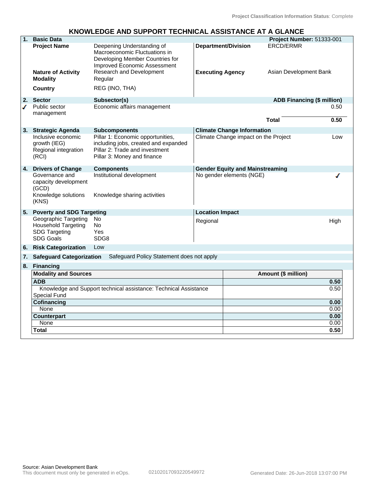# **KNOWLEDGE AND SUPPORT TECHNICAL ASSISTANCE AT A GLANCE**

| $\overline{1}$ . | <b>Basic Data</b>                                                                       |                                                                                                                                            |                            |                                        | Project Number: 51333-001         |              |
|------------------|-----------------------------------------------------------------------------------------|--------------------------------------------------------------------------------------------------------------------------------------------|----------------------------|----------------------------------------|-----------------------------------|--------------|
|                  | <b>Project Name</b>                                                                     | Deepening Understanding of<br>Macroeconomic Fluctuations in<br>Developing Member Countries for<br><b>Improved Economic Assessment</b>      | <b>Department/Division</b> |                                        | <b>ERCD/ERMR</b>                  |              |
|                  | <b>Nature of Activity</b><br><b>Modality</b>                                            | <b>Research and Development</b><br>Regular                                                                                                 | <b>Executing Agency</b>    |                                        | Asian Development Bank            |              |
|                  | Country                                                                                 | REG (INO, THA)                                                                                                                             |                            |                                        |                                   |              |
| 2.               | <b>Sector</b>                                                                           | Subsector(s)                                                                                                                               |                            |                                        | <b>ADB Financing (\$ million)</b> |              |
| ◢                | Public sector<br>management                                                             | Economic affairs management                                                                                                                |                            |                                        | <b>Total</b>                      | 0.50<br>0.50 |
|                  |                                                                                         |                                                                                                                                            |                            |                                        |                                   |              |
| 3.               | <b>Strategic Agenda</b>                                                                 | <b>Subcomponents</b>                                                                                                                       |                            | <b>Climate Change Information</b>      |                                   |              |
|                  | Inclusive economic<br>growth (IEG)<br>Regional integration<br>(RCI)                     | Pillar 1: Economic opportunities,<br>including jobs, created and expanded<br>Pillar 2: Trade and investment<br>Pillar 3: Money and finance |                            | Climate Change impact on the Project   |                                   | Low          |
|                  | 4. Drivers of Change                                                                    | <b>Components</b>                                                                                                                          |                            | <b>Gender Equity and Mainstreaming</b> |                                   |              |
|                  | Governance and<br>capacity development<br>(GCD)<br>Knowledge solutions<br>(KNS)         | Institutional development<br>Knowledge sharing activities                                                                                  |                            | No gender elements (NGE)               |                                   |              |
| 5.               | <b>Poverty and SDG Targeting</b>                                                        |                                                                                                                                            | <b>Location Impact</b>     |                                        |                                   |              |
|                  | Geographic Targeting<br>Household Targeting<br><b>SDG Targeting</b><br><b>SDG Goals</b> | No<br><b>No</b><br>Yes<br>SDG8                                                                                                             | Regional                   |                                        |                                   | High         |
| 6.               | <b>Risk Categorization</b>                                                              | Low                                                                                                                                        |                            |                                        |                                   |              |
| 7.               | <b>Safeguard Categorization</b>                                                         | Safeguard Policy Statement does not apply                                                                                                  |                            |                                        |                                   |              |
|                  | 8. Financing                                                                            |                                                                                                                                            |                            |                                        |                                   |              |
|                  | <b>Modality and Sources</b>                                                             |                                                                                                                                            |                            |                                        | Amount (\$ million)               |              |
|                  | <b>ADB</b>                                                                              |                                                                                                                                            |                            |                                        |                                   | 0.50         |
|                  |                                                                                         | Knowledge and Support technical assistance: Technical Assistance                                                                           |                            |                                        |                                   | 0.50         |
|                  | <b>Special Fund</b>                                                                     |                                                                                                                                            |                            |                                        |                                   |              |
|                  | Cofinancing                                                                             |                                                                                                                                            |                            |                                        |                                   | 0.00         |
|                  | None<br><b>Counterpart</b>                                                              |                                                                                                                                            |                            |                                        |                                   | 0.00<br>0.00 |
|                  | None                                                                                    |                                                                                                                                            |                            |                                        |                                   | 0.00         |
|                  | Total                                                                                   |                                                                                                                                            |                            |                                        |                                   | 0.50         |
|                  |                                                                                         |                                                                                                                                            |                            |                                        |                                   |              |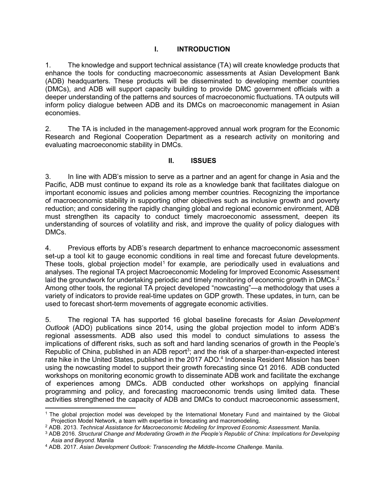### **I. INTRODUCTION**

1. The knowledge and support technical assistance (TA) will create knowledge products that enhance the tools for conducting macroeconomic assessments at Asian Development Bank (ADB) headquarters. These products will be disseminated to developing member countries (DMCs), and ADB will support capacity building to provide DMC government officials with a deeper understanding of the patterns and sources of macroeconomic fluctuations. TA outputs will inform policy dialogue between ADB and its DMCs on macroeconomic management in Asian economies.

2. The TA is included in the management-approved annual work program for the Economic Research and Regional Cooperation Department as a research activity on monitoring and evaluating macroeconomic stability in DMCs.

### **II. ISSUES**

3. In line with ADB's mission to serve as a partner and an agent for change in Asia and the Pacific, ADB must continue to expand its role as a knowledge bank that facilitates dialogue on important economic issues and policies among member countries. Recognizing the importance of macroeconomic stability in supporting other objectives such as inclusive growth and poverty reduction; and considering the rapidly changing global and regional economic environment, ADB must strengthen its capacity to conduct timely macroeconomic assessment, deepen its understanding of sources of volatility and risk, and improve the quality of policy dialogues with DMCs.

4. Previous efforts by ADB's research department to enhance macroeconomic assessment set-up a tool kit to gauge economic conditions in real time and forecast future developments. These tools, global projection model<sup>1</sup> for example, are periodically used in evaluations and analyses. The regional TA project Macroeconomic Modeling for Improved Economic Assessment laid the groundwork for undertaking periodic and timely monitoring of economic growth in DMCs. $2$ Among other tools, the regional TA project developed "nowcasting"—a methodology that uses a variety of indicators to provide real-time updates on GDP growth. These updates, in turn, can be used to forecast short-term movements of aggregate economic activities.

5. The regional TA has supported 16 global baseline forecasts for *Asian Development Outlook* (ADO) publications since 2014, using the global projection model to inform ADB's regional assessments. ADB also used this model to conduct simulations to assess the implications of different risks, such as soft and hard landing scenarios of growth in the People's Republic of China, published in an ADB report<sup>3</sup>; and the risk of a sharper-than-expected interest rate hike in the United States, published in the 2017 ADO.<sup>4</sup> Indonesia Resident Mission has been using the nowcasting model to support their growth forecasting since Q1 2016. ADB conducted workshops on monitoring economic growth to disseminate ADB work and facilitate the exchange of experiences among DMCs. ADB conducted other workshops on applying financial programming and policy, and forecasting macroeconomic trends using limited data. These activities strengthened the capacity of ADB and DMCs to conduct macroeconomic assessment,

 1 The global projection model was developed by the International Monetary Fund and maintained by the Global Projection Model Network, a team with expertise in forecasting and macromodeling.

<sup>2</sup> ADB. 2013. *Technical Assistance for Macroeconomic Modeling for Improved Economic Assessment*. Manila.

<sup>3</sup> ADB 2016. *Structural Change and Moderating Growth in the People's Republic of China: Implications for Developing Asia and Beyond*. Manila

<sup>4</sup> ADB. 2017. *Asian Development Outlook: Transcending the Middle-Income Challenge*. Manila.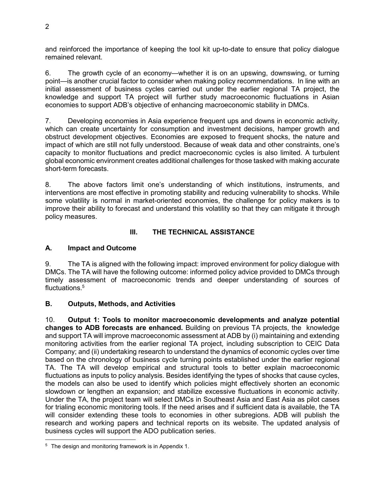and reinforced the importance of keeping the tool kit up-to-date to ensure that policy dialogue remained relevant.

6. The growth cycle of an economy—whether it is on an upswing, downswing, or turning point—is another crucial factor to consider when making policy recommendations. In line with an initial assessment of business cycles carried out under the earlier regional TA project, the knowledge and support TA project will further study macroeconomic fluctuations in Asian economies to support ADB's objective of enhancing macroeconomic stability in DMCs.

7. Developing economies in Asia experience frequent ups and downs in economic activity, which can create uncertainty for consumption and investment decisions, hamper growth and obstruct development objectives. Economies are exposed to frequent shocks, the nature and impact of which are still not fully understood. Because of weak data and other constraints, one's capacity to monitor fluctuations and predict macroeconomic cycles is also limited. A turbulent global economic environment creates additional challenges for those tasked with making accurate short-term forecasts.

8. The above factors limit one's understanding of which institutions, instruments, and interventions are most effective in promoting stability and reducing vulnerability to shocks. While some volatility is normal in market-oriented economies, the challenge for policy makers is to improve their ability to forecast and understand this volatility so that they can mitigate it through policy measures.

# **III. THE TECHNICAL ASSISTANCE**

### **A. Impact and Outcome**

9. The TA is aligned with the following impact: improved environment for policy dialogue with DMCs. The TA will have the following outcome: informed policy advice provided to DMCs through timely assessment of macroeconomic trends and deeper understanding of sources of fluctuations.<sup>5</sup>

### **B. Outputs, Methods, and Activities**

10. **Output 1: Tools to monitor macroeconomic developments and analyze potential changes to ADB forecasts are enhanced.** Building on previous TA projects, the knowledge and support TA will improve macroeconomic assessment at ADB by (i) maintaining and extending monitoring activities from the earlier regional TA project, including subscription to CEIC Data Company; and (ii) undertaking research to understand the dynamics of economic cycles over time based on the chronology of business cycle turning points established under the earlier regional TA. The TA will develop empirical and structural tools to better explain macroeconomic fluctuations as inputs to policy analysis. Besides identifying the types of shocks that cause cycles, the models can also be used to identify which policies might effectively shorten an economic slowdown or lengthen an expansion; and stabilize excessive fluctuations in economic activity. Under the TA, the project team will select DMCs in Southeast Asia and East Asia as pilot cases for trialing economic monitoring tools. If the need arises and if sufficient data is available, the TA will consider extending these tools to economies in other subregions. ADB will publish the research and working papers and technical reports on its website. The updated analysis of business cycles will support the ADO publication series.

 5 The design and monitoring framework is in Appendix 1.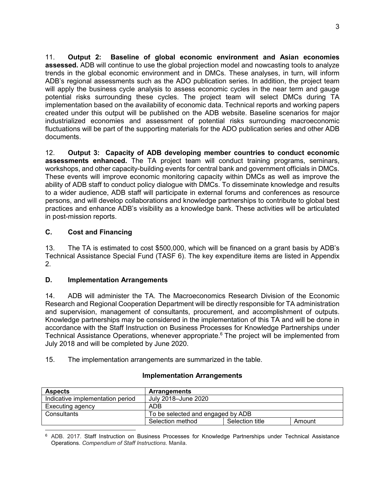11. **Output 2: Baseline of global economic environment and Asian economies assessed.** ADB will continue to use the global projection model and nowcasting tools to analyze trends in the global economic environment and in DMCs. These analyses, in turn, will inform ADB's regional assessments such as the ADO publication series. In addition, the project team will apply the business cycle analysis to assess economic cycles in the near term and gauge potential risks surrounding these cycles. The project team will select DMCs during TA implementation based on the availability of economic data. Technical reports and working papers created under this output will be published on the ADB website. Baseline scenarios for major industrialized economies and assessment of potential risks surrounding macroeconomic fluctuations will be part of the supporting materials for the ADO publication series and other ADB documents.

12. **Output 3: Capacity of ADB developing member countries to conduct economic assessments enhanced.** The TA project team will conduct training programs, seminars, workshops, and other capacity-building events for central bank and government officials in DMCs. These events will improve economic monitoring capacity within DMCs as well as improve the ability of ADB staff to conduct policy dialogue with DMCs. To disseminate knowledge and results to a wider audience, ADB staff will participate in external forums and conferences as resource persons, and will develop collaborations and knowledge partnerships to contribute to global best practices and enhance ADB's visibility as a knowledge bank. These activities will be articulated in post-mission reports.

# **C. Cost and Financing**

13. The TA is estimated to cost \$500,000, which will be financed on a grant basis by ADB's Technical Assistance Special Fund (TASF 6). The key expenditure items are listed in Appendix 2.

### **D. Implementation Arrangements**

14. ADB will administer the TA. The Macroeconomics Research Division of the Economic Research and Regional Cooperation Department will be directly responsible for TA administration and supervision, management of consultants, procurement, and accomplishment of outputs. Knowledge partnerships may be considered in the implementation of this TA and will be done in accordance with the Staff Instruction on Business Processes for Knowledge Partnerships under Technical Assistance Operations, whenever appropriate.<sup>6</sup> The project will be implemented from July 2018 and will be completed by June 2020.

15. The implementation arrangements are summarized in the table.

# **Implementation Arrangements**

| <b>Aspects</b>                   | <b>Arrangements</b>               |                 |        |
|----------------------------------|-----------------------------------|-----------------|--------|
| Indicative implementation period | July 2018–June 2020               |                 |        |
| Executing agency                 | ADB                               |                 |        |
| Consultants                      | To be selected and engaged by ADB |                 |        |
|                                  | Selection method                  | Selection title | Amount |

<sup>-</sup><sup>6</sup> ADB. 2017. Staff Instruction on Business Processes for Knowledge Partnerships under Technical Assistance Operations. *Compendium of Staff Instructions*. Manila.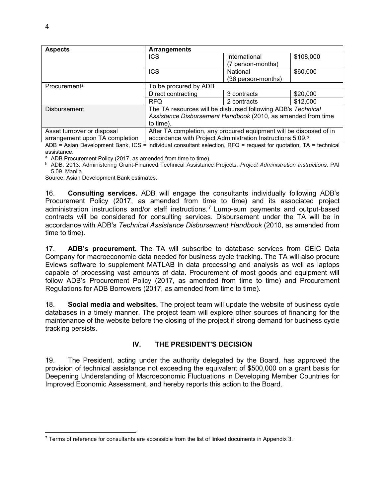| <b>Aspects</b>                 | <b>Arrangements</b>                                                    |                    |           |
|--------------------------------|------------------------------------------------------------------------|--------------------|-----------|
|                                | <b>ICS</b>                                                             | International      | \$108,000 |
|                                |                                                                        | (7 person-months)  |           |
|                                | <b>ICS</b>                                                             | National           | \$60,000  |
|                                |                                                                        | (36 person-months) |           |
| Procurement <sup>a</sup>       | To be procured by ADB                                                  |                    |           |
|                                | Direct contracting                                                     | 3 contracts        | \$20,000  |
|                                | <b>RFQ</b>                                                             | 2 contracts        | \$12,000  |
| <b>Disbursement</b>            | The TA resources will be disbursed following ADB's Technical           |                    |           |
|                                | Assistance Disbursement Handbook (2010, as amended from time           |                    |           |
|                                | to time).                                                              |                    |           |
| Asset turnover or disposal     | After TA completion, any procured equipment will be disposed of in     |                    |           |
| arrangement upon TA completion | accordance with Project Administration Instructions 5.09. <sup>b</sup> |                    |           |

ADB = Asian Development Bank, ICS = individual consultant selection, RFQ = request for quotation, TA = technical assistance.

<sup>a</sup> ADB Procurement Policy (2017, as amended from time to time).

b ADB. 2013. Administering Grant-Financed Technical Assistance Projects. *Project Administration Instructions*. PAI 5.09. Manila.

Source: Asian Development Bank estimates.

16. **Consulting services.** ADB will engage the consultants individually following ADB's Procurement Policy (2017, as amended from time to time) and its associated project administration instructions and/or staff instructions.<sup>7</sup> Lump-sum payments and output-based contracts will be considered for consulting services. Disbursement under the TA will be in accordance with ADB's *Technical Assistance Disbursement Handbook* (2010, as amended from time to time).

17. **ADB's procurement.** The TA will subscribe to database services from CEIC Data Company for macroeconomic data needed for business cycle tracking. The TA will also procure Eviews software to supplement MATLAB in data processing and analysis as well as laptops capable of processing vast amounts of data. Procurement of most goods and equipment will follow ADB's Procurement Policy (2017, as amended from time to time) and Procurement Regulations for ADB Borrowers (2017, as amended from time to time).

18. **Social media and websites.** The project team will update the website of business cycle databases in a timely manner. The project team will explore other sources of financing for the maintenance of the website before the closing of the project if strong demand for business cycle tracking persists.

# **IV. THE PRESIDENT'S DECISION**

19. The President, acting under the authority delegated by the Board, has approved the provision of technical assistance not exceeding the equivalent of \$500,000 on a grant basis for Deepening Understanding of Macroeconomic Fluctuations in Developing Member Countries for Improved Economic Assessment, and hereby reports this action to the Board.

-

<sup>&</sup>lt;sup>7</sup> Terms of reference for consultants are accessible from the list of linked documents in Appendix 3.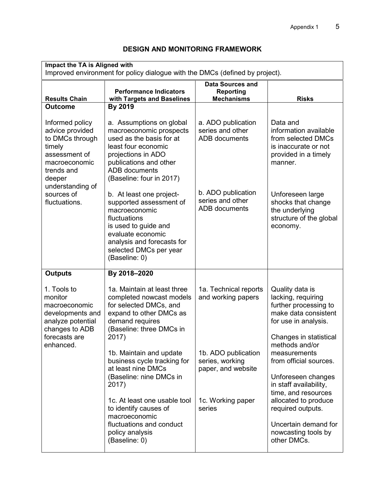| <b>Impact the TA is Aligned with</b><br>Improved environment for policy dialogue with the DMCs (defined by project).                          |                                                                                                                                                                                                            |                                                                                             |                                                                                                                    |  |
|-----------------------------------------------------------------------------------------------------------------------------------------------|------------------------------------------------------------------------------------------------------------------------------------------------------------------------------------------------------------|---------------------------------------------------------------------------------------------|--------------------------------------------------------------------------------------------------------------------|--|
| <b>Results Chain</b>                                                                                                                          | <b>Performance Indicators</b><br>with Targets and Baselines                                                                                                                                                | <b>Data Sources and</b><br><b>Reporting</b><br><b>Mechanisms</b>                            | <b>Risks</b>                                                                                                       |  |
| <b>Outcome</b>                                                                                                                                | By 2019                                                                                                                                                                                                    |                                                                                             |                                                                                                                    |  |
| Informed policy<br>advice provided<br>to DMCs through<br>timely<br>assessment of<br>macroeconomic<br>trends and<br>deeper<br>understanding of | a. Assumptions on global<br>macroeconomic prospects<br>used as the basis for at<br>least four economic<br>projections in ADO<br>publications and other<br><b>ADB</b> documents<br>(Baseline: four in 2017) | a. ADO publication<br>series and other<br><b>ADB</b> documents                              | Data and<br>information available<br>from selected DMCs<br>is inaccurate or not<br>provided in a timely<br>manner. |  |
| sources of<br>fluctuations.                                                                                                                   | b. At least one project-<br>supported assessment of<br>macroeconomic<br>fluctuations<br>is used to guide and<br>evaluate economic<br>analysis and forecasts for<br>selected DMCs per year<br>(Baseline: 0) | b. ADO publication<br>series and other<br><b>ADB</b> documents                              | Unforeseen large<br>shocks that change<br>the underlying<br>structure of the global<br>economy.                    |  |
| <b>Outputs</b>                                                                                                                                | By 2018-2020                                                                                                                                                                                               |                                                                                             |                                                                                                                    |  |
| 1. Tools to<br>monitor<br>macroeconomic<br>developments and<br>analyze potential<br>changes to ADB                                            | 1a. Maintain at least three<br>completed nowcast models<br>for selected DMCs, and<br>expand to other DMCs as<br>demand requires<br>(Baseline: three DMCs in                                                | 1a. Technical reports<br>and working papers                                                 | Quality data is<br>lacking, requiring<br>further processing to<br>make data consistent<br>for use in analysis.     |  |
| forecasts are<br>enhanced.                                                                                                                    | 2017)<br>1b. Maintain and update<br>business cycle tracking for<br>at least nine DMCs<br>(Baseline: nine DMCs in<br>2017)<br>1c. At least one usable tool<br>to identify causes of<br>macroeconomic        | 1b. ADO publication<br>series, working<br>paper, and website<br>1c. Working paper<br>series | Changes in statistical<br>methods and/or<br>measurements<br>from official sources.                                 |  |
|                                                                                                                                               |                                                                                                                                                                                                            |                                                                                             | Unforeseen changes<br>in staff availability,<br>time, and resources                                                |  |
|                                                                                                                                               |                                                                                                                                                                                                            |                                                                                             | allocated to produce<br>required outputs.                                                                          |  |
|                                                                                                                                               | fluctuations and conduct<br>policy analysis<br>(Baseline: 0)                                                                                                                                               |                                                                                             | Uncertain demand for<br>nowcasting tools by<br>other DMCs.                                                         |  |

# **DESIGN AND MONITORING FRAMEWORK**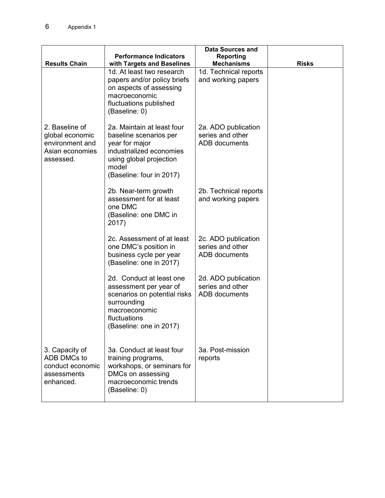|                                                                                      |                                                                                                                                                                    | <b>Data Sources and</b>                                         |              |
|--------------------------------------------------------------------------------------|--------------------------------------------------------------------------------------------------------------------------------------------------------------------|-----------------------------------------------------------------|--------------|
|                                                                                      | <b>Performance Indicators</b>                                                                                                                                      | Reporting                                                       |              |
| <b>Results Chain</b>                                                                 | with Targets and Baselines                                                                                                                                         | <b>Mechanisms</b>                                               | <b>Risks</b> |
|                                                                                      | 1d. At least two research<br>papers and/or policy briefs<br>on aspects of assessing<br>macroeconomic<br>fluctuations published<br>(Baseline: 0)                    | 1d. Technical reports<br>and working papers                     |              |
| 2. Baseline of<br>global economic<br>environment and<br>Asian economies<br>assessed. | 2a. Maintain at least four<br>baseline scenarios per<br>year for major<br>industrialized economies<br>using global projection<br>model<br>(Baseline: four in 2017) | 2a. ADO publication<br>series and other<br><b>ADB</b> documents |              |
|                                                                                      | 2b. Near-term growth<br>assessment for at least<br>one DMC<br>(Baseline: one DMC in<br>2017)                                                                       | 2b. Technical reports<br>and working papers                     |              |
|                                                                                      | 2c. Assessment of at least<br>one DMC's position in<br>business cycle per year<br>(Baseline: one in 2017)                                                          | 2c. ADO publication<br>series and other<br><b>ADB</b> documents |              |
|                                                                                      | 2d. Conduct at least one<br>assessment per year of<br>scenarios on potential risks<br>surrounding<br>macroeconomic<br>fluctuations<br>(Baseline: one in 2017)      | 2d. ADO publication<br>series and other<br><b>ADB</b> documents |              |
| 3. Capacity of<br>ADB DMCs to<br>conduct economic<br>assessments<br>enhanced.        | 3a. Conduct at least four<br>training programs,<br>workshops, or seminars for<br>DMCs on assessing<br>macroeconomic trends<br>(Baseline: 0)                        | 3a. Post-mission<br>reports                                     |              |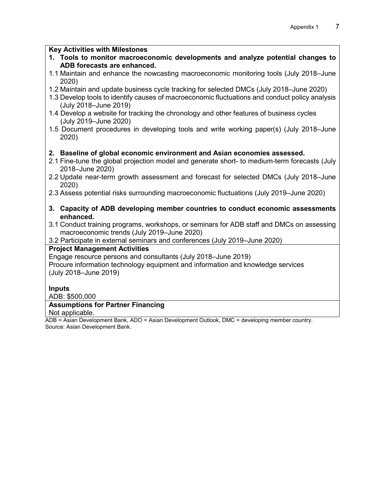### **Key Activities with Milestones**

- **1. Tools to monitor macroeconomic developments and analyze potential changes to ADB forecasts are enhanced.**
- 1.1 Maintain and enhance the nowcasting macroeconomic monitoring tools (July 2018–June 2020)
- 1.2 Maintain and update business cycle tracking for selected DMCs (July 2018–June 2020)
- 1.3 Develop tools to identify causes of macroeconomic fluctuations and conduct policy analysis (July 2018–June 2019)
- 1.4 Develop a website for tracking the chronology and other features of business cycles (July 2019–June 2020)
- 1.5 Document procedures in developing tools and write working paper(s) (July 2018–June 2020)

# **2. Baseline of global economic environment and Asian economies assessed.**

- 2.1 Fine-tune the global projection model and generate short- to medium-term forecasts (July 2018–June 2020)
- 2.2 Update near-term growth assessment and forecast for selected DMCs (July 2018–June 2020)
- 2.3 Assess potential risks surrounding macroeconomic fluctuations (July 2019–June 2020)
- **3. Capacity of ADB developing member countries to conduct economic assessments enhanced.**
- 3.1 Conduct training programs, workshops, or seminars for ADB staff and DMCs on assessing macroeconomic trends (July 2019–June 2020)
- 3.2 Participate in external seminars and conferences (July 2019–June 2020)

### **Project Management Activities**

Engage resource persons and consultants (July 2018–June 2019) Procure information technology equipment and information and knowledge services (July 2018–June 2019)

### **Inputs**

ADB: \$500,000

# **Assumptions for Partner Financing**

Not applicable.

ADB = Asian Development Bank, ADO = Asian Development Outlook, DMC = developing member country. Source: Asian Development Bank.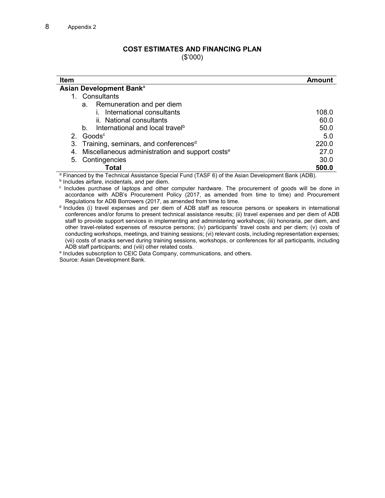# **COST ESTIMATES AND FINANCING PLAN**

(\$'000)

| <b>Item</b>                                                    | Amount |
|----------------------------------------------------------------|--------|
| Asian Development Bank <sup>a</sup>                            |        |
| Consultants<br>1.                                              |        |
| Remuneration and per diem<br>a.                                |        |
| International consultants                                      | 108.0  |
| ii. National consultants                                       | 60.0   |
| International and local travel <sup>b</sup><br>$b_{-}$         | 50.0   |
| 2. Goods $\degree$                                             | 5.0    |
| 3. Training, seminars, and conferences <sup>d</sup>            | 220.0  |
| 4. Miscellaneous administration and support costs <sup>e</sup> | 27.0   |
| 5. Contingencies                                               | 30.0   |
| Total                                                          | 500.0  |

<sup>a</sup> Financed by the Technical Assistance Special Fund (TASF 6) of the Asian Development Bank (ADB).

**b** Includes airfare, incidentals, and per diem.

c Includes purchase of laptops and other computer hardware. The procurement of goods will be done in accordance with ADB's Procurement Policy (2017, as amended from time to time) and Procurement Regulations for ADB Borrowers (2017, as amended from time to time.

<sup>d</sup> Includes (i) travel expenses and per diem of ADB staff as resource persons or speakers in international conferences and/or forums to present technical assistance results; (ii) travel expenses and per diem of ADB staff to provide support services in implementing and administering workshops; (iii) honoraria, per diem, and other travel-related expenses of resource persons; (iv) participants' travel costs and per diem; (v) costs of conducting workshops, meetings, and training sessions; (vi) relevant costs, including representation expenses; (vii) costs of snacks served during training sessions, workshops, or conferences for all participants, including ADB staff participants; and (viii) other related costs.

e Includes subscription to CEIC Data Company, communications, and others. Source: Asian Development Bank.